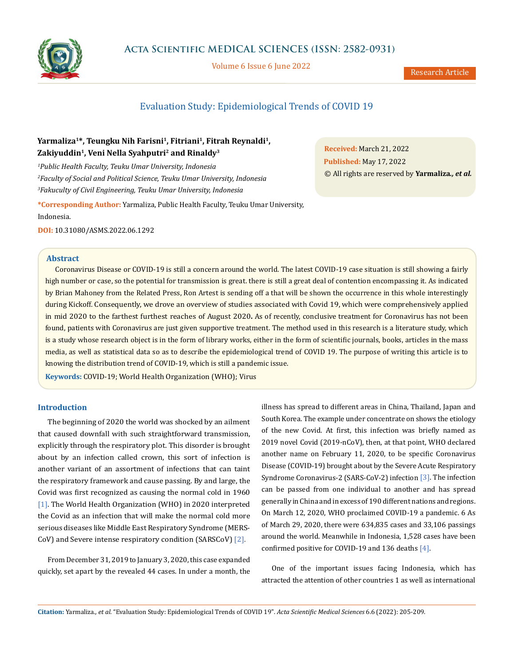

# **Acta Scientific MEDICAL SCIENCES (ISSN: 2582-0931)**

Volume 6 Issue 6 June 2022

Research Article

# Evaluation Study: Epidemiological Trends of COVID 19

# Yarmaliza<sup>1\*</sup>, Teungku Nih Farisni<sup>1</sup>, Fitriani<sup>1</sup>, Fitrah Reynaldi<sup>1</sup>, Zakiyuddin<sup>1</sup>, Veni Nella Syahputri<sup>2</sup> and Rinaldy<sup>3</sup>

*1 Public Health Faculty, Teuku Umar University, Indonesia 2 Faculty of Social and Political Science, Teuku Umar University, Indonesia 3 Fakuculty of Civil Engineering, Teuku Umar University, Indonesia*

**\*Corresponding Author:** Yarmaliza, Public Health Faculty, Teuku Umar University, Indonesia.

**DOI:** [10.31080/ASMS.2022.06.129](http://actascientific.com/ASMS/pdf/ASMS-06-1292.pdf)2

## **Abstract**

Coronavirus Disease or COVID-19 is still a concern around the world. The latest COVID-19 case situation is still showing a fairly high number or case, so the potential for transmission is great. there is still a great deal of contention encompassing it. As indicated by Brian Mahoney from the Related Press, Ron Artest is sending off a that will be shown the occurrence in this whole interestingly during Kickoff. Consequently, we drove an overview of studies associated with Covid 19, which were comprehensively applied in mid 2020 to the farthest furthest reaches of August 2020**.** As of recently, conclusive treatment for Coronavirus has not been found, patients with Coronavirus are just given supportive treatment. The method used in this research is a literature study, which is a study whose research object is in the form of library works, either in the form of scientific journals, books, articles in the mass media, as well as statistical data so as to describe the epidemiological trend of COVID 19. The purpose of writing this article is to knowing the distribution trend of COVID-19, which is still a pandemic issue.

**Keywords:** COVID-19; World Health Organization (WHO); Virus

### **Introduction**

The beginning of 2020 the world was shocked by an ailment that caused downfall with such straightforward transmission, explicitly through the respiratory plot. This disorder is brought about by an infection called crown, this sort of infection is another variant of an assortment of infections that can taint the respiratory framework and cause passing. By and large, the Covid was first recognized as causing the normal cold in 1960 [1]. The World Health Organization (WHO) in 2020 interpreted the Covid as an infection that will make the normal cold more serious diseases like Middle East Respiratory Syndrome (MERS-CoV) and Severe intense respiratory condition (SARSCoV) [2].

From December 31, 2019 to January 3, 2020, this case expanded quickly, set apart by the revealed 44 cases. In under a month, the illness has spread to different areas in China, Thailand, Japan and South Korea. The example under concentrate on shows the etiology of the new Covid. At first, this infection was briefly named as 2019 novel Covid (2019-nCoV), then, at that point, WHO declared another name on February 11, 2020, to be specific Coronavirus Disease (COVID-19) brought about by the Severe Acute Respiratory Syndrome Coronavirus-2 (SARS-CoV-2) infection [3]. The infection can be passed from one individual to another and has spread generally in China and in excess of 190 different nations and regions. On March 12, 2020, WHO proclaimed COVID-19 a pandemic. 6 As of March 29, 2020, there were 634,835 cases and 33,106 passings around the world. Meanwhile in Indonesia, 1,528 cases have been confirmed positive for COVID-19 and 136 deaths  $[4]$ .

One of the important issues facing Indonesia, which has attracted the attention of other countries 1 as well as international

**Citation:** Yarmaliza*., et al.* "Evaluation Study: Epidemiological Trends of COVID 19". *Acta Scientific Medical Sciences* 6.6 (2022): 205-209.

**Received:** March 21, 2022 **Published:** May 17, 2022 © All rights are reserved by **Yarmaliza***., et al.*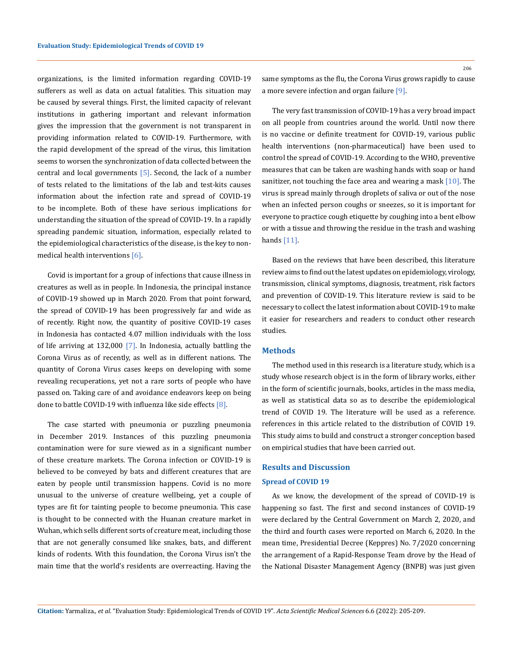organizations, is the limited information regarding COVID-19 sufferers as well as data on actual fatalities. This situation may be caused by several things. First, the limited capacity of relevant institutions in gathering important and relevant information gives the impression that the government is not transparent in providing information related to COVID-19. Furthermore, with the rapid development of the spread of the virus, this limitation seems to worsen the synchronization of data collected between the central and local governments  $[5]$ . Second, the lack of a number of tests related to the limitations of the lab and test-kits causes information about the infection rate and spread of COVID-19 to be incomplete. Both of these have serious implications for understanding the situation of the spread of COVID-19. In a rapidly spreading pandemic situation, information, especially related to the epidemiological characteristics of the disease, is the key to nonmedical health interventions [6].

Covid is important for a group of infections that cause illness in creatures as well as in people. In Indonesia, the principal instance of COVID-19 showed up in March 2020. From that point forward, the spread of COVID-19 has been progressively far and wide as of recently. Right now, the quantity of positive COVID-19 cases in Indonesia has contacted 4.07 million individuals with the loss of life arriving at 132,000 [7]. In Indonesia, actually battling the Corona Virus as of recently, as well as in different nations. The quantity of Corona Virus cases keeps on developing with some revealing recuperations, yet not a rare sorts of people who have passed on. Taking care of and avoidance endeavors keep on being done to battle COVID-19 with influenza like side effects  $[8]$ .

The case started with pneumonia or puzzling pneumonia in December 2019. Instances of this puzzling pneumonia contamination were for sure viewed as in a significant number of these creature markets. The Corona infection or COVID-19 is believed to be conveyed by bats and different creatures that are eaten by people until transmission happens. Covid is no more unusual to the universe of creature wellbeing, yet a couple of types are fit for tainting people to become pneumonia. This case is thought to be connected with the Huanan creature market in Wuhan, which sells different sorts of creature meat, including those that are not generally consumed like snakes, bats, and different kinds of rodents. With this foundation, the Corona Virus isn't the main time that the world's residents are overreacting. Having the

206

same symptoms as the flu, the Corona Virus grows rapidly to cause a more severe infection and organ failure [9].

The very fast transmission of COVID-19 has a very broad impact on all people from countries around the world. Until now there is no vaccine or definite treatment for COVID-19, various public health interventions (non-pharmaceutical) have been used to control the spread of COVID-19. According to the WHO, preventive measures that can be taken are washing hands with soap or hand sanitizer, not touching the face area and wearing a mask  $[10]$ . The virus is spread mainly through droplets of saliva or out of the nose when an infected person coughs or sneezes, so it is important for everyone to practice cough etiquette by coughing into a bent elbow or with a tissue and throwing the residue in the trash and washing hands [11].

Based on the reviews that have been described, this literature review aims to find out the latest updates on epidemiology, virology, transmission, clinical symptoms, diagnosis, treatment, risk factors and prevention of COVID-19. This literature review is said to be necessary to collect the latest information about COVID-19 to make it easier for researchers and readers to conduct other research studies.

## **Methods**

The method used in this research is a literature study, which is a study whose research object is in the form of library works, either in the form of scientific journals, books, articles in the mass media, as well as statistical data so as to describe the epidemiological trend of COVID 19. The literature will be used as a reference. references in this article related to the distribution of COVID 19. This study aims to build and construct a stronger conception based on empirical studies that have been carried out.

# **Results and Discussion Spread of COVID 19**

As we know, the development of the spread of COVID-19 is happening so fast. The first and second instances of COVID-19 were declared by the Central Government on March 2, 2020, and the third and fourth cases were reported on March 6, 2020. In the mean time, Presidential Decree (Keppres) No. 7/2020 concerning the arrangement of a Rapid-Response Team drove by the Head of the National Disaster Management Agency (BNPB) was just given

**Citation:** Yarmaliza*., et al.* "Evaluation Study: Epidemiological Trends of COVID 19". *Acta Scientific Medical Sciences* 6.6 (2022): 205-209.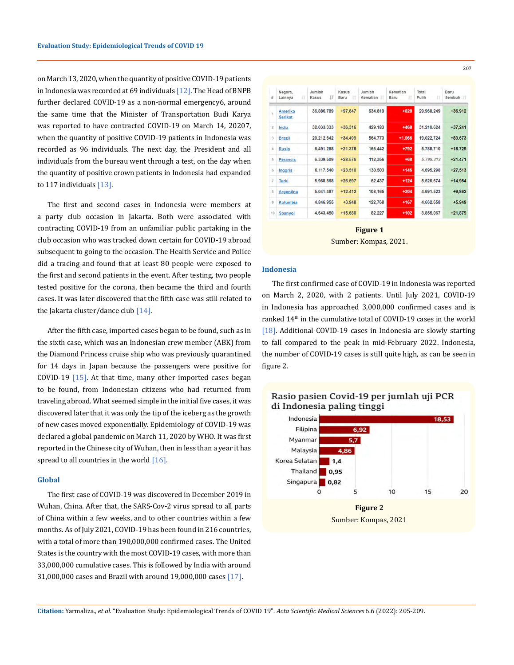on March 13, 2020, when the quantity of positive COVID-19 patients in Indonesia was recorded at 69 individuals [12]. The Head of BNPB further declared COVID-19 as a non-normal emergency6, around the same time that the Minister of Transportation Budi Karya was reported to have contracted COVID-19 on March 14, 20207, when the quantity of positive COVID-19 patients in Indonesia was recorded as 96 individuals. The next day, the President and all individuals from the bureau went through a test, on the day when the quantity of positive crown patients in Indonesia had expanded to  $117$  individuals  $[13]$ .

The first and second cases in Indonesia were members at a party club occasion in Jakarta. Both were associated with contracting COVID-19 from an unfamiliar public partaking in the club occasion who was tracked down certain for COVID-19 abroad subsequent to going to the occasion. The Health Service and Police did a tracing and found that at least 80 people were exposed to the first and second patients in the event. After testing, two people tested positive for the corona, then became the third and fourth cases. It was later discovered that the fifth case was still related to the Jakarta cluster/dance club  $[14]$ .

After the fifth case, imported cases began to be found, such as in the sixth case, which was an Indonesian crew member (ABK) from the Diamond Princess cruise ship who was previously quarantined for 14 days in Japan because the passengers were positive for COVID-19 [15]. At that time, many other imported cases began to be found, from Indonesian citizens who had returned from traveling abroad. What seemed simple in the initial five cases, it was discovered later that it was only the tip of the iceberg as the growth of new cases moved exponentially. Epidemiology of COVID-19 was declared a global pandemic on March 11, 2020 by WHO. It was first reported in the Chinese city of Wuhan, then in less than a year it has spread to all countries in the world [16].

#### **Global**

The first case of COVID-19 was discovered in December 2019 in Wuhan, China. After that, the SARS-Cov-2 virus spread to all parts of China within a few weeks, and to other countries within a few months. As of July 2021, COVID-19 has been found in 216 countries, with a total of more than 190,000,000 confirmed cases. The United States is the country with the most COVID-19 cases, with more than 33,000,000 cumulative cases. This is followed by India with around 31,000,000 cases and Brazil with around 19,000,000 cases [17].

| #              | Negara,<br>л<br>Lainnya   | Jumlah<br>ΙŦ<br>Kasus | Kasus<br>Ħ<br>Baru | Jumlah<br>Kematian | Kematian<br>Ħ<br>Baru | Total<br>11<br>Pulih | Baru<br>Sembuh |
|----------------|---------------------------|-----------------------|--------------------|--------------------|-----------------------|----------------------|----------------|
| 1              | Amerika<br><b>Serikat</b> | 36.886.789            | +97.647            | 634,619            | $+628$                | 29.960.249           | $+36.912$      |
| $\overline{2}$ | India                     | 32.033.333            | $+36.316$          | 429.183            | $+468$                | 31.210.624           | $+37,241$      |
| 3              | <b>Brazil</b>             | 20.212.642            | $+34.499$          | 564.773            | $+1.066$              | 19,022,724           | $+83.673$      |
| 4              | <b>Rusia</b>              | 6.491.288             | $+21.378$          | 166,442            | $+792$                | 5.788.710            | $+18.729$      |
| 5              | <b>Perancis</b>           | 6.339.509             | $+28.576$          | 112,356            | $+68$                 | 5.799.313            | $+21.471$      |
| 6              | Inggris                   | 6.117.540             | $+23.510$          | 130.503            | $+146$                | 4.695.298            | $+27,513$      |
| $\overline{7}$ | Turki                     | 5.968.868             | $+26.597$          | 52.437             | $+124$                | 5.526.674            | $+14.954$      |
| 8              | <b>Argentina</b>          | 5.041.487             | $+12.412$          | 108,165            | $+204$                | 4.691.523            | $+9,862$       |
| 9              | Kolumbia                  | 4.846.955             | $+3.948$           | 122,768            | $+167$                | 4.662.658            | $+5.949$       |
| 10             | Spanyol                   | 4.643.450             | $+15.680$          | 82.227             | $+102$                | 3.855.067            | $+21,879$      |

**Figure 1** Sumber: Kompas, 2021.

#### **Indonesia**

The first confirmed case of COVID-19 in Indonesia was reported on March 2, 2020, with 2 patients. Until July 2021, COVID-19 in Indonesia has approached 3,000,000 confirmed cases and is ranked 14<sup>th</sup> in the cumulative total of COVID-19 cases in the world [18]. Additional COVID-19 cases in Indonesia are slowly starting to fall compared to the peak in mid-February 2022. Indonesia, the number of COVID-19 cases is still quite high, as can be seen in figure 2.



# Rasio pasien Covid-19 per jumlah uji PCR di Indonesia paling tinggi

**Citation:** Yarmaliza*., et al.* "Evaluation Study: Epidemiological Trends of COVID 19". *Acta Scientific Medical Sciences* 6.6 (2022): 205-209.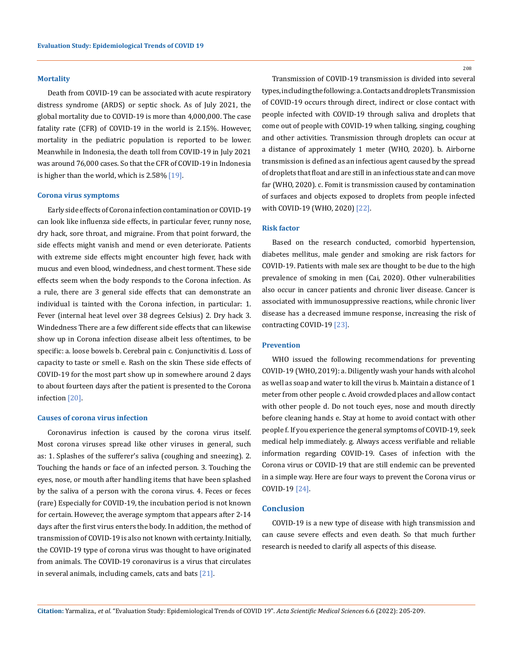#### **Mortality**

Death from COVID-19 can be associated with acute respiratory distress syndrome (ARDS) or septic shock. As of July 2021, the global mortality due to COVID-19 is more than 4,000,000. The case fatality rate (CFR) of COVID-19 in the world is 2.15%. However, mortality in the pediatric population is reported to be lower. Meanwhile in Indonesia, the death toll from COVID-19 in July 2021 was around 76,000 cases. So that the CFR of COVID-19 in Indonesia is higher than the world, which is 2.58% [19].

#### **Corona virus symptoms**

Early side effects of Corona infection contamination or COVID-19 can look like influenza side effects, in particular fever, runny nose, dry hack, sore throat, and migraine. From that point forward, the side effects might vanish and mend or even deteriorate. Patients with extreme side effects might encounter high fever, hack with mucus and even blood, windedness, and chest torment. These side effects seem when the body responds to the Corona infection. As a rule, there are 3 general side effects that can demonstrate an individual is tainted with the Corona infection, in particular: 1. Fever (internal heat level over 38 degrees Celsius) 2. Dry hack 3. Windedness There are a few different side effects that can likewise show up in Corona infection disease albeit less oftentimes, to be specific: a. loose bowels b. Cerebral pain c. Conjunctivitis d. Loss of capacity to taste or smell e. Rash on the skin These side effects of COVID-19 for the most part show up in somewhere around 2 days to about fourteen days after the patient is presented to the Corona infection [20].

#### **Causes of corona virus infection**

Coronavirus infection is caused by the corona virus itself. Most corona viruses spread like other viruses in general, such as: 1. Splashes of the sufferer's saliva (coughing and sneezing). 2. Touching the hands or face of an infected person. 3. Touching the eyes, nose, or mouth after handling items that have been splashed by the saliva of a person with the corona virus. 4. Feces or feces (rare) Especially for COVID-19, the incubation period is not known for certain. However, the average symptom that appears after 2-14 days after the first virus enters the body. In addition, the method of transmission of COVID-19 is also not known with certainty. Initially, the COVID-19 type of corona virus was thought to have originated from animals. The COVID-19 coronavirus is a virus that circulates in several animals, including camels, cats and bats [21].

208

Transmission of COVID-19 transmission is divided into several types, including the following: a. Contacts and droplets Transmission of COVID-19 occurs through direct, indirect or close contact with people infected with COVID-19 through saliva and droplets that come out of people with COVID-19 when talking, singing, coughing and other activities. Transmission through droplets can occur at a distance of approximately 1 meter (WHO, 2020). b. Airborne transmission is defined as an infectious agent caused by the spread of droplets that float and are still in an infectious state and can move far (WHO, 2020). c. Fomit is transmission caused by contamination of surfaces and objects exposed to droplets from people infected with COVID-19 (WHO, 2020) [22].

### **Risk factor**

Based on the research conducted, comorbid hypertension, diabetes mellitus, male gender and smoking are risk factors for COVID-19. Patients with male sex are thought to be due to the high prevalence of smoking in men (Cai, 2020). Other vulnerabilities also occur in cancer patients and chronic liver disease. Cancer is associated with immunosuppressive reactions, while chronic liver disease has a decreased immune response, increasing the risk of contracting COVID-19 [23].

### **Prevention**

WHO issued the following recommendations for preventing COVID-19 (WHO, 2019): a. Diligently wash your hands with alcohol as well as soap and water to kill the virus b. Maintain a distance of 1 meter from other people c. Avoid crowded places and allow contact with other people d. Do not touch eyes, nose and mouth directly before cleaning hands e. Stay at home to avoid contact with other people f. If you experience the general symptoms of COVID-19, seek medical help immediately. g. Always access verifiable and reliable information regarding COVID-19. Cases of infection with the Corona virus or COVID-19 that are still endemic can be prevented in a simple way. Here are four ways to prevent the Corona virus or COVID-19 [24].

### **Conclusion**

COVID-19 is a new type of disease with high transmission and can cause severe effects and even death. So that much further research is needed to clarify all aspects of this disease.